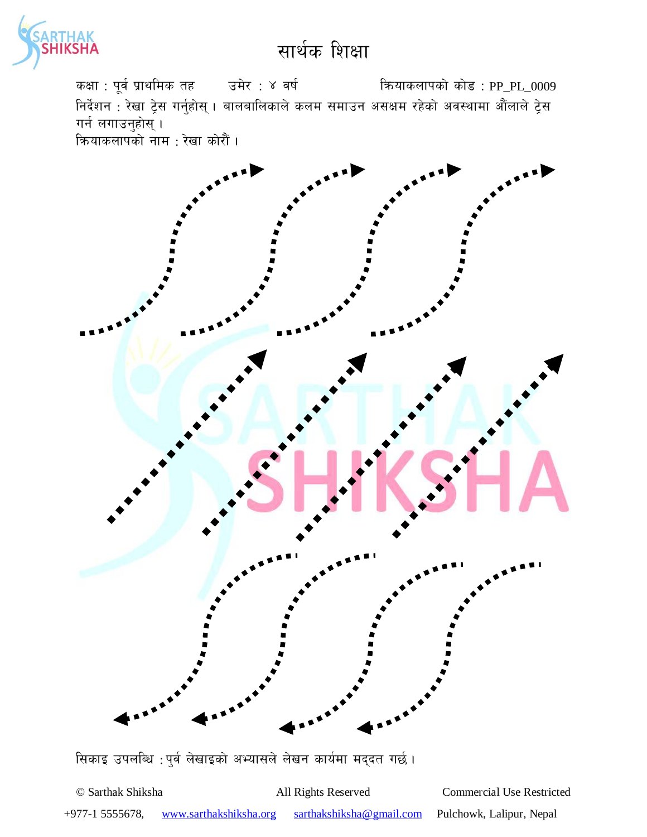कक्षा : पूर्व प्राथमिक तह उमेर : ४ वर्ष कियाकलापको कोड : PP\_PL\_0009 निर्देशन : रेखा ट्रेस गर्नुहोस् । बालबालिकाले कलम समाउन असक्षम रहेको अवस्थामा औंलाले ट्रेस गर्न लगाउनुहोस् $\hat{a}$ । |<br>| क्रियाकलापको नाम : रेखा कोरौं ।



सिकाइ उपलब्धि : पुर्व लेखाइको अभ्यासले लेखन कार्यमा मद्दत गर्छ।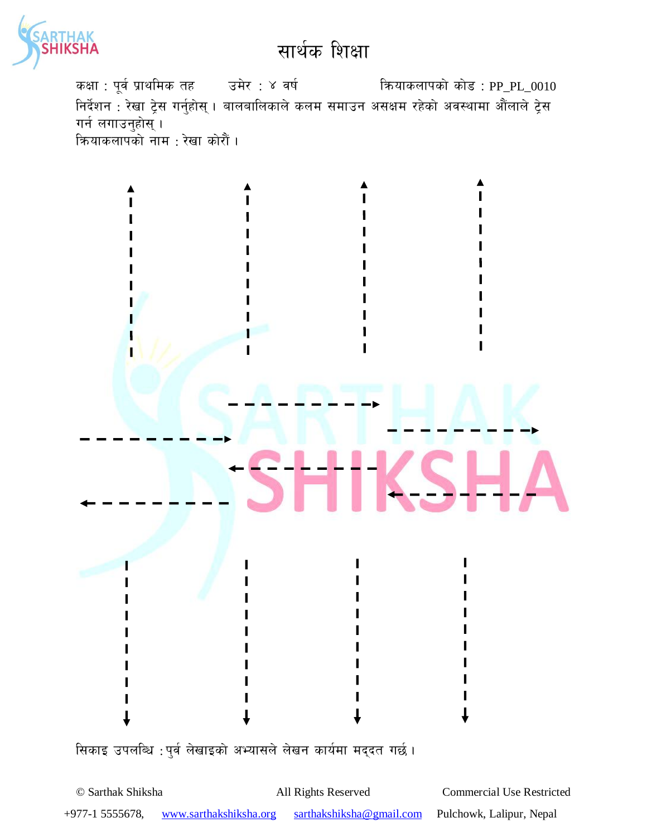

कक्षा : पूर्व प्राथमिक तह जिसे : ४ वर्ष स्वाद्या कथा कोड़ : PP\_PL\_0010 निर्देशन : रेखा ट्रेस गर्नुहोस् । बालबालिकाले कलम समाउन असक्षम रहेको अवस्थामा औंलाले ट्रेस गर्न लगाउनुहोस् $\,$ । कियाकलापको नाम : रेखा कोरौं ।



सिकाइ उपलब्धि : पुर्व लेखाइको अभ्यासले लेखन कार्यमा मद्दत गर्छ।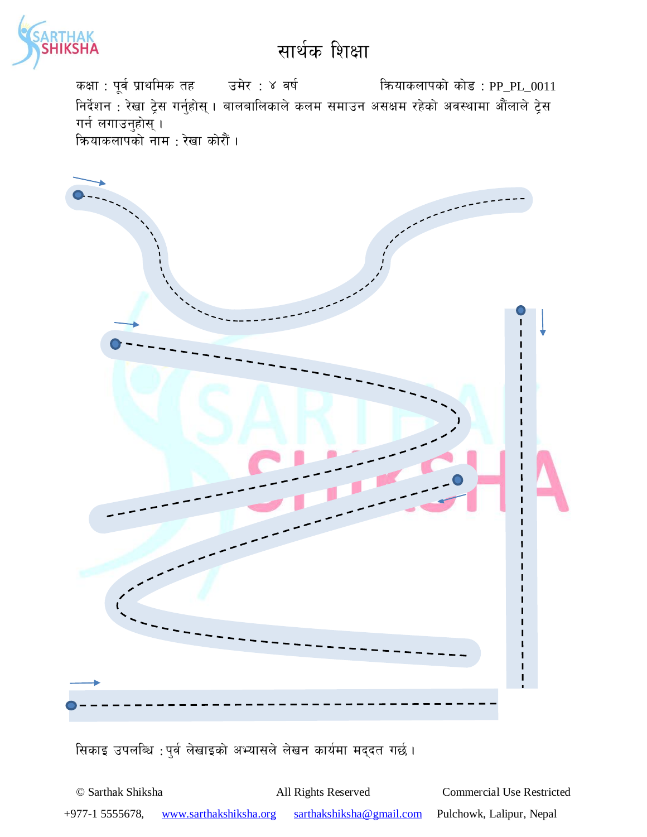

कक्षा : पूर्व प्राथमिक तह जिसेर : ४ वर्ष स्वास्था को को को उपानी को से प्रार्थी को से प्रार्थी को से अपनी को स निर्देशन : रेखा ट्रेस गर्नुहोस् । बालबालिकाले कलम समाउन असक्षम रहेको अवस्थामा औंलाले ट्रेस गर्न लगाउनुहोस् $\,$ । कियाकलापको नाम : रेखा कोरौं ।



सिकाइ उपलब्धि : पुर्व लेखाइको अभ्यासले लेखन कार्यमा मद्दत गर्छ।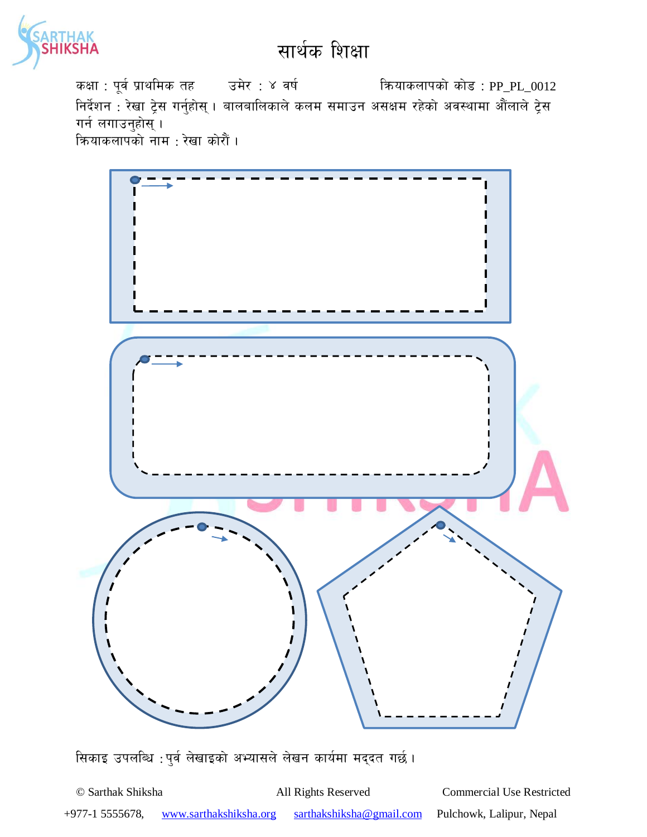

कक्षा : पूर्व प्राथमिक तह जिसेर : ४ वर्ष स्वाद्या को को को उपानी को से को सम्राट 2012 निर्देशन : रेखा ट्रेस गर्नुहोस् । बालबालिकाले कलम समाउन असक्षम रहेको अवस्थामा औंलाले ट्रेस गर्न लगाउनुहोस् $\vert$ । कियाकलापको नाम : रेखा कोरौं ।



सिकाइ उपलब्धि : पुर्व लेखाइको अभ्यासले लेखन कार्यमा मद्दत गर्छ।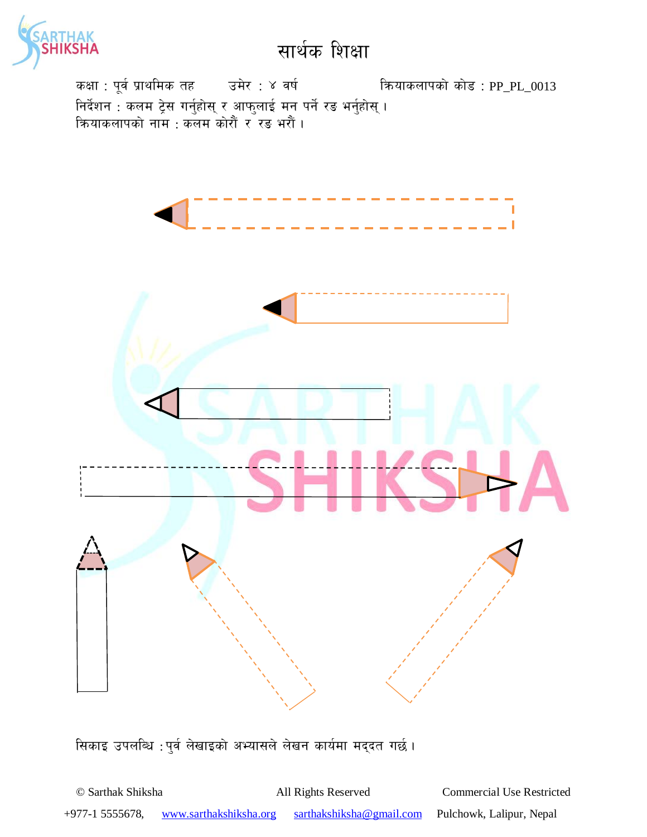

कक्षा : पूर्व प्राथमिक तह उमेर : ४ वर्ष कियाकलापको कोड : PP\_PL\_0013 निर्देशन : कलम ट्रेस गर्नुहोस् र आफुलाई मन पर्ने रङ भर्नुहोस् ।<br>क्रियाकलापको नाम : कलम कोरौं र रङ भरौं ।



सिकाइ उपलब्धि : पुर्व लेखाइको अभ्यासले लेखन कार्यमा मद्दत गर्छ।